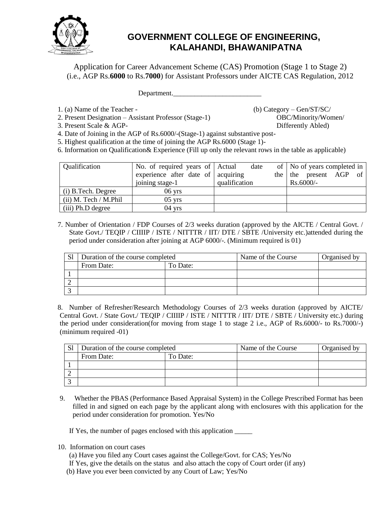

## **GOVERNMENT COLLEGE OF ENGINEERING, KALAHANDI, BHAWANIPATNA**

Application for Career Advancement Scheme (CAS) Promotion (Stage 1 to Stage 2) (i.e., AGP Rs.**6000** to Rs.**7000**) for Assistant Professors under AICTE CAS Regulation, 2012

Department.

1. (a) Name of the Teacher - (b) Category – Gen/ST/SC/

2. Present Designation – Assistant Professor (Stage-1) OBC/Minority/Women/

3. Present Scale & AGP- Differently Abled)

4. Date of Joining in the AGP of Rs.6000/-(Stage-1) against substantive post-

5. Highest qualification at the time of joining the AGP Rs.6000 (Stage 1)-

6. Information on Qualification& Experience (Fill up only the relevant rows in the table as applicable)

| Qualification           | No. of required years of Actual             | date          | of   No of years completed in |
|-------------------------|---------------------------------------------|---------------|-------------------------------|
|                         | experience after date of $\alpha$ acquiring |               | the the present AGP of        |
|                         | joining stage-1                             | qualification | $Rs.6000/-$                   |
| (i) B.Tech. Degree      | $06$ yrs                                    |               |                               |
| $(ii)$ M. Tech / M.Phil | $05$ yrs                                    |               |                               |
| (iii) Ph.D degree       | $04$ yrs                                    |               |                               |

7. Number of Orientation / FDP Courses of 2/3 weeks duration (approved by the AICTE / Central Govt. / State Govt./ TEQIP / CIIIIP / ISTE / NITTTR / IIT/ DTE / SBTE / University etc.) attended during the period under consideration after joining at AGP 6000/-. (Minimum required is 01)

| $\mathbf{C}$ 1<br>اد | Duration of the course completed |          | Name of the Course | Organised by |  |
|----------------------|----------------------------------|----------|--------------------|--------------|--|
|                      | From Date:                       | To Date: |                    |              |  |
|                      |                                  |          |                    |              |  |
|                      |                                  |          |                    |              |  |
|                      |                                  |          |                    |              |  |

8. Number of Refresher/Research Methodology Courses of 2/3 weeks duration (approved by AICTE/ Central Govt. / State Govt./ TEQIP / CIIIIP / ISTE / NITTTR / IIT/ DTE / SBTE / University etc.) during the period under consideration(for moving from stage 1 to stage 2 i.e., AGP of Rs.6000/- to Rs.7000/-) (minimum required -01)

| C <sub>1</sub> | Duration of the course completed |          | Name of the Course | Organised by |
|----------------|----------------------------------|----------|--------------------|--------------|
|                | From Date:                       | To Date: |                    |              |
|                |                                  |          |                    |              |
|                |                                  |          |                    |              |
|                |                                  |          |                    |              |

9. Whether the PBAS (Performance Based Appraisal System) in the College Prescribed Format has been filled in and signed on each page by the applicant along with enclosures with this application for the period under consideration for promotion. Yes/No

If Yes, the number of pages enclosed with this application  $\_\_$ 

- 10. Information on court cases
	- (a) Have you filed any Court cases against the College/Govt. for CAS; Yes/No
	- If Yes, give the details on the status and also attach the copy of Court order (if any)
	- (b) Have you ever been convicted by any Court of Law; Yes/No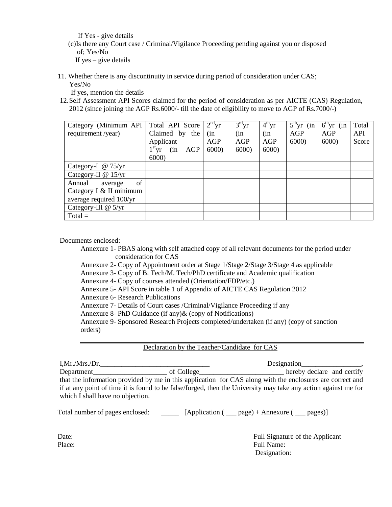If Yes - give details

 (c)Is there any Court case / Criminal/Vigilance Proceeding pending against you or disposed of; Yes/No If yes  $-$  give details

11. Whether there is any discontinuity in service during period of consideration under CAS; Yes/No

If yes, mention the details

12.Self Assessment API Scores claimed for the period of consideration as per AICTE (CAS) Regulation, 2012 (since joining the AGP Rs.6000/- till the date of eligibility to move to AGP of Rs.7000/-)

| Category (Minimum API   Total API Score |                     | $2nd$ yr | $3rd$ yr | $4th$ yr | $5^{\text{th}}$ yr (in | $6th$ yr (in | Total |
|-----------------------------------------|---------------------|----------|----------|----------|------------------------|--------------|-------|
| requirement/year)                       | Claimed by the      | (in      | (in      | (in      | AGP                    | AGP          | API   |
|                                         | Applicant           | AGP      | AGP      | AGP      | 6000                   | 6000         | Score |
|                                         | $1st$ yr (in<br>AGP | 6000     | 6000     | 6000     |                        |              |       |
|                                         | 6000                |          |          |          |                        |              |       |
| Category-I @ 75/yr                      |                     |          |          |          |                        |              |       |
| Category-II @ 15/yr                     |                     |          |          |          |                        |              |       |
| of<br>Annual<br>average                 |                     |          |          |          |                        |              |       |
| Category I & II minimum                 |                     |          |          |          |                        |              |       |
| average required 100/yr                 |                     |          |          |          |                        |              |       |
| Category-III $@$ 5/yr                   |                     |          |          |          |                        |              |       |
| $Total =$                               |                     |          |          |          |                        |              |       |

Documents enclosed:

Annexure 1- PBAS along with self attached copy of all relevant documents for the period under consideration for CAS

Annexure 2- Copy of Appointment order at Stage 1/Stage 2/Stage 3/Stage 4 as applicable

Annexure 3- Copy of B. Tech/M. Tech/PhD certificate and Academic qualification

Annexure 4- Copy of courses attended (Orientation/FDP/etc.)

Annexure 5- API Score in table 1 of Appendix of AICTE CAS Regulation 2012

Annexure 6- Research Publications

Annexure 7- Details of Court cases /Criminal/Vigilance Proceeding if any

Annexure 8- PhD Guidance (if any)& (copy of Notifications)

Annexure 9- Sponsored Research Projects completed/undertaken (if any) (copy of sanction orders)

## Declaration by the Teacher/Candidate for CAS

I,Mr./Mrs./Dr. Designation Department\_\_\_\_\_\_\_\_\_\_\_\_\_\_\_\_\_\_\_\_\_ of College\_\_\_\_\_\_\_\_\_\_\_\_\_\_\_\_\_\_\_\_\_\_\_\_ hereby declare and certify that the information provided by me in this application for CAS along with the enclosures are correct and if at any point of time it is found to be false/forged, then the University may take any action against me for which I shall have no objection.

Total number of pages enclosed: [Application ( \_\_\_ page) + Annexure ( \_\_ pages)]

Date: Full Signature of the Applicant Place: Full Name: Full Name: Full Name: Full Name: Full Name: Full Name: Full Name: Full Name: Full Name: Full Name: Full Name: Full Name: Full Name: Full Name: Full Name: Full Name: Full Name: Full Name: Full Name: Full N Designation: